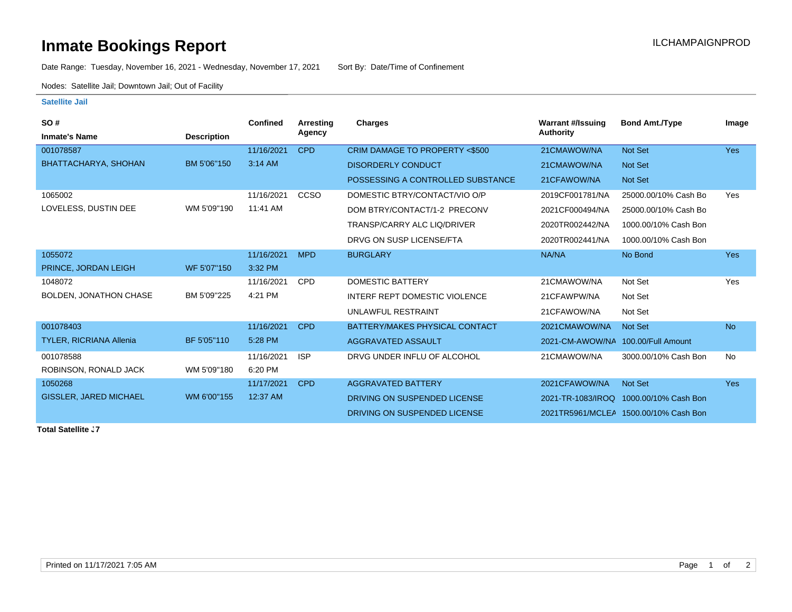## **Inmate Bookings Report Installation ILCHAMPAIGNPROD**

Date Range: Tuesday, November 16, 2021 - Wednesday, November 17, 2021 Sort By: Date/Time of Confinement

Nodes: Satellite Jail; Downtown Jail; Out of Facility

## **Satellite Jail**

| SO#                            |                    | <b>Confined</b> | Arresting  | <b>Charges</b>                       | <b>Warrant #/Issuing</b>           | <b>Bond Amt./Type</b>                 | Image      |
|--------------------------------|--------------------|-----------------|------------|--------------------------------------|------------------------------------|---------------------------------------|------------|
| <b>Inmate's Name</b>           | <b>Description</b> |                 | Agency     |                                      | <b>Authority</b>                   |                                       |            |
| 001078587                      |                    | 11/16/2021      | <b>CPD</b> | CRIM DAMAGE TO PROPERTY <\$500       | 21CMAWOW/NA                        | Not Set                               | <b>Yes</b> |
| BHATTACHARYA, SHOHAN           | BM 5'06"150        | 3:14 AM         |            | <b>DISORDERLY CONDUCT</b>            | 21CMAWOW/NA                        | Not Set                               |            |
|                                |                    |                 |            | POSSESSING A CONTROLLED SUBSTANCE    | 21CFAWOW/NA                        | Not Set                               |            |
| 1065002                        |                    | 11/16/2021      | CCSO       | DOMESTIC BTRY/CONTACT/VIO O/P        | 2019CF001781/NA                    | 25000.00/10% Cash Bo                  | Yes        |
| LOVELESS, DUSTIN DEE           | WM 5'09"190        | 11:41 AM        |            | DOM BTRY/CONTACT/1-2 PRECONV         | 2021CF000494/NA                    | 25000.00/10% Cash Bo                  |            |
|                                |                    |                 |            | <b>TRANSP/CARRY ALC LIQ/DRIVER</b>   | 2020TR002442/NA                    | 1000.00/10% Cash Bon                  |            |
|                                |                    |                 |            | DRVG ON SUSP LICENSE/FTA             | 2020TR002441/NA                    | 1000.00/10% Cash Bon                  |            |
| 1055072                        |                    | 11/16/2021      | <b>MPD</b> | <b>BURGLARY</b>                      | NA/NA                              | No Bond                               | <b>Yes</b> |
| PRINCE, JORDAN LEIGH           | WF 5'07"150        | 3:32 PM         |            |                                      |                                    |                                       |            |
| 1048072                        |                    | 11/16/2021      | <b>CPD</b> | <b>DOMESTIC BATTERY</b>              | 21CMAWOW/NA                        | Not Set                               | Yes        |
| BOLDEN, JONATHON CHASE         | BM 5'09"225        | 4:21 PM         |            | <b>INTERF REPT DOMESTIC VIOLENCE</b> | 21CFAWPW/NA                        | Not Set                               |            |
|                                |                    |                 |            | UNLAWFUL RESTRAINT                   | 21CFAWOW/NA                        | Not Set                               |            |
| 001078403                      |                    | 11/16/2021      | <b>CPD</b> | BATTERY/MAKES PHYSICAL CONTACT       | 2021CMAWOW/NA                      | Not Set                               | <b>No</b>  |
| <b>TYLER, RICRIANA Allenia</b> | BF 5'05"110        | 5:28 PM         |            | AGGRAVATED ASSAULT                   | 2021-CM-AWOW/NA 100.00/Full Amount |                                       |            |
| 001078588                      |                    | 11/16/2021      | <b>ISP</b> | DRVG UNDER INFLU OF ALCOHOL          | 21CMAWOW/NA                        | 3000.00/10% Cash Bon                  | No         |
| ROBINSON, RONALD JACK          | WM 5'09"180        | 6:20 PM         |            |                                      |                                    |                                       |            |
| 1050268                        |                    | 11/17/2021      | <b>CPD</b> | <b>AGGRAVATED BATTERY</b>            | 2021CFAWOW/NA                      | Not Set                               | <b>Yes</b> |
| <b>GISSLER, JARED MICHAEL</b>  | WM 6'00"155        | 12:37 AM        |            | DRIVING ON SUSPENDED LICENSE         | 2021-TR-1083/IROQ                  | 1000.00/10% Cash Bon                  |            |
|                                |                    |                 |            | DRIVING ON SUSPENDED LICENSE         |                                    | 2021TR5961/MCLEA 1500.00/10% Cash Bon |            |

**Total Satellite J7**